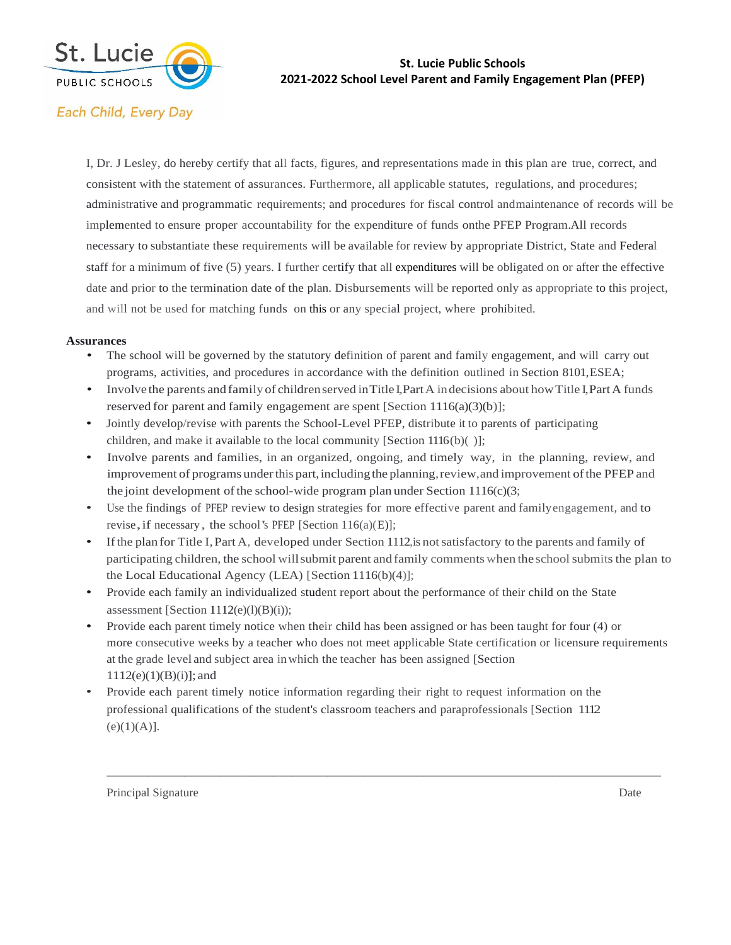

#### **St. Lucie Public Schools 2021-2022 School Level Parent and Family Engagement Plan (PFEP)**

# Each Child, Every Day

I, Dr. J Lesley, do hereby certify that all facts, figures, and representations made in this plan are true, correct, and consistent with the statement of assurances. Furthermore, all applicable statutes, regulations, and procedures; administrative and programmatic requirements; and procedures for fiscal control andmaintenance of records will be implemented to ensure proper accountability for the expenditure of funds onthe PFEP Program. All records necessary to substantiate these requirements will be available for review by appropriate District, State and Federal staff for a minimum of five (5) years. I further certify that all expenditures will be obligated on or after the effective date and prior to the termination date of the plan. Disbursements will be reported only as appropriate to this project, and will not be used for matching funds on this or any special project, where prohibited.

#### **Assurances**

- The school will be governed by the statutory definition of parent and family engagement, and will carry out programs, activities, and procedures in accordance with the definition outlined in Section 8101,ESEA;
- Involve the parents and family of children served in Title I, Part A indecisions about how Title I, Part A funds reserved for parent and family engagement are spent [Section 1116(a)(3)(b)];
- Jointly develop/revise with parents the School-Level PFEP, distribute it to parents of participating children, and make it available to the local community [Section  $1116(b)()$ ];
- Involve parents and families, in an organized, ongoing, and timely way, in the planning, review, and improvement of programs under this part, including the planning, review, and improvement of the PFEP and the joint development of the school-wide program plan under Section  $1116(c)(3;$
- Use the findings of PFEP review to design strategies for more effective parent and familyengagement, and to revise, if necessary, the school's PFEP [Section  $116(a)(E)$ ];
- Ifthe plan for Title I,Part A, developed under Section 1112,is notsatisfactory to the parents and family of participating children, the school willsubmit parent and family comments when the schoolsubmits the plan to the Local Educational Agency (LEA) [Section 1116(b)(4)];
- Provide each family an individualized student report about the performance of their child on the State assessment [Section  $1112(e)(l)(B)(i)$ );
- Provide each parent timely notice when their child has been assigned or has been taught for four (4) or more consecutive weeks by a teacher who does not meet applicable State certification or licensure requirements at the grade level and subject area inwhich the teacher has been assigned [Section 1112(e)(1)(B)(i)]; and

\_\_\_\_\_\_\_\_\_\_\_\_\_\_\_\_\_\_\_\_\_\_\_\_\_\_\_\_\_\_\_\_\_\_\_\_\_\_\_\_\_\_\_\_\_\_\_\_\_\_\_\_\_\_\_\_\_\_\_\_\_\_\_\_\_\_\_\_\_\_\_\_\_\_\_\_\_\_\_\_\_\_\_\_\_\_\_\_\_\_\_\_\_

• Provide each parent timely notice information regarding their right to request information on the professional qualifications of the student's classroom teachers and paraprofessionals [Section 1112  $(e)(1)(A)].$ 

Principal Signature Date Date of the Date of the Date of the Date of the Date of the Date of the Date of the Date of the Date of the Date of the Date of the Date of the Date of the Date of the Date of the Date of the Date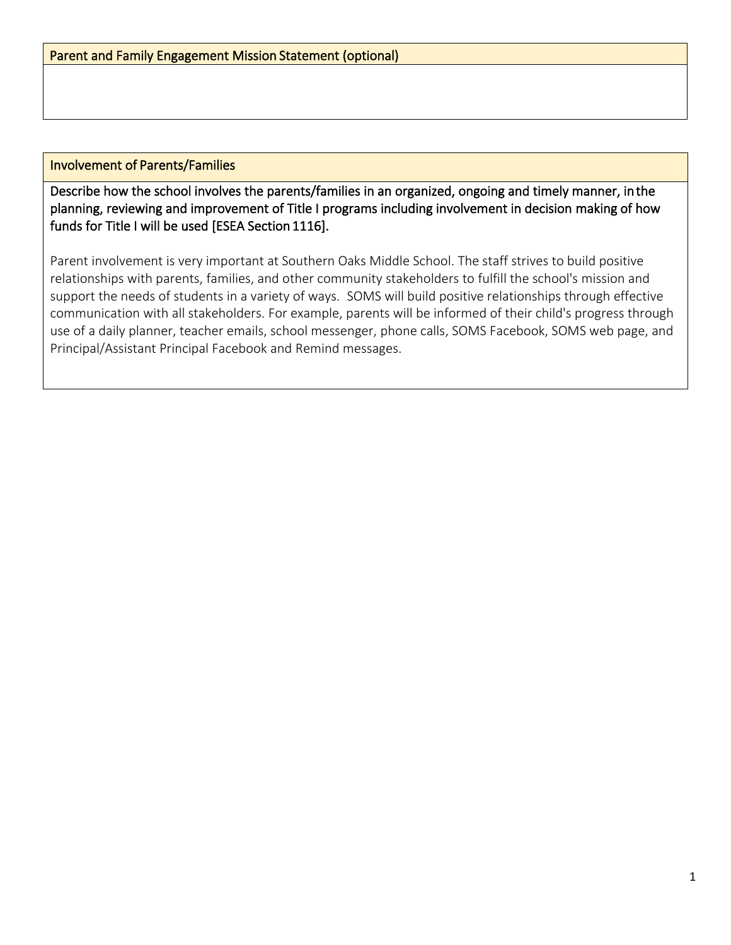### Involvement of Parents/Families

Describe how the school involves the parents/families in an organized, ongoing and timely manner, in the planning, reviewing and improvement of Title I programs including involvement in decision making of how funds for Title I will be used [ESEA Section 1116].

Parent involvement is very important at Southern Oaks Middle School. The staff strives to build positive relationships with parents, families, and other community stakeholders to fulfill the school's mission and support the needs of students in a variety of ways. SOMS will build positive relationships through effective communication with all stakeholders. For example, parents will be informed of their child's progress through use of a daily planner, teacher emails, school messenger, phone calls, SOMS Facebook, SOMS web page, and Principal/Assistant Principal Facebook and Remind messages.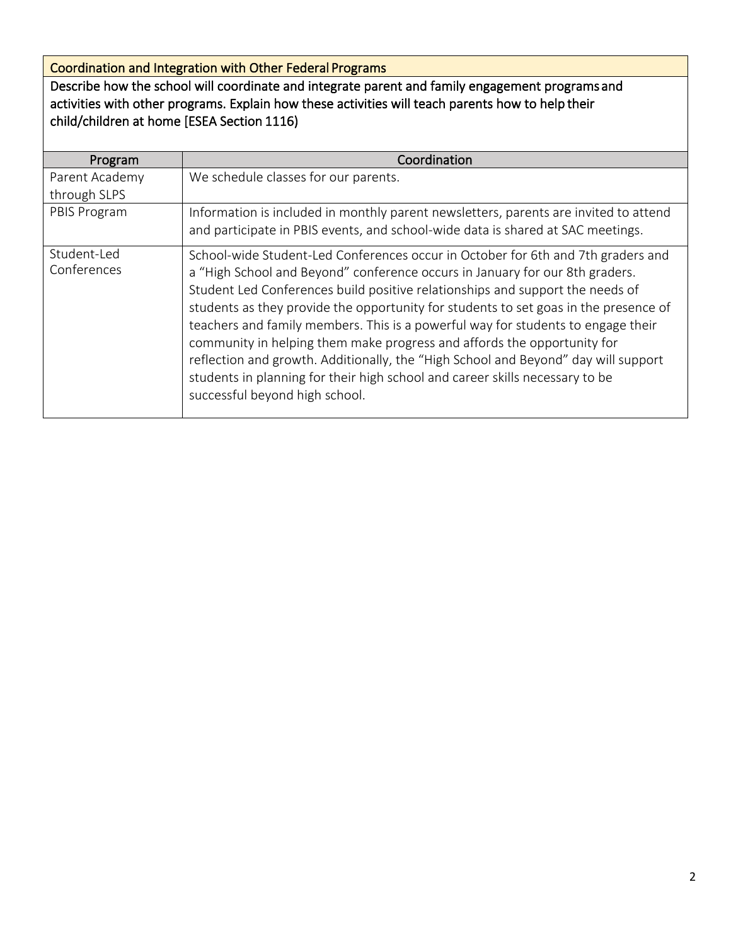Coordination and Integration with Other Federal Programs

Describe how the school will coordinate and integrate parent and family engagement programs and activities with other programs. Explain how these activities will teach parents how to help their child/children at home [ESEA Section 1116)

| Program                    | Coordination                                                                                                                                                                                                                                                                                                                                                                                                                                                                                                                                                                                                                                                                                                     |  |  |  |  |
|----------------------------|------------------------------------------------------------------------------------------------------------------------------------------------------------------------------------------------------------------------------------------------------------------------------------------------------------------------------------------------------------------------------------------------------------------------------------------------------------------------------------------------------------------------------------------------------------------------------------------------------------------------------------------------------------------------------------------------------------------|--|--|--|--|
| Parent Academy             | We schedule classes for our parents.                                                                                                                                                                                                                                                                                                                                                                                                                                                                                                                                                                                                                                                                             |  |  |  |  |
| through SLPS               |                                                                                                                                                                                                                                                                                                                                                                                                                                                                                                                                                                                                                                                                                                                  |  |  |  |  |
| PBIS Program               | Information is included in monthly parent newsletters, parents are invited to attend<br>and participate in PBIS events, and school-wide data is shared at SAC meetings.                                                                                                                                                                                                                                                                                                                                                                                                                                                                                                                                          |  |  |  |  |
| Student-Led<br>Conferences | School-wide Student-Led Conferences occur in October for 6th and 7th graders and<br>a "High School and Beyond" conference occurs in January for our 8th graders.<br>Student Led Conferences build positive relationships and support the needs of<br>students as they provide the opportunity for students to set goas in the presence of<br>teachers and family members. This is a powerful way for students to engage their<br>community in helping them make progress and affords the opportunity for<br>reflection and growth. Additionally, the "High School and Beyond" day will support<br>students in planning for their high school and career skills necessary to be<br>successful beyond high school. |  |  |  |  |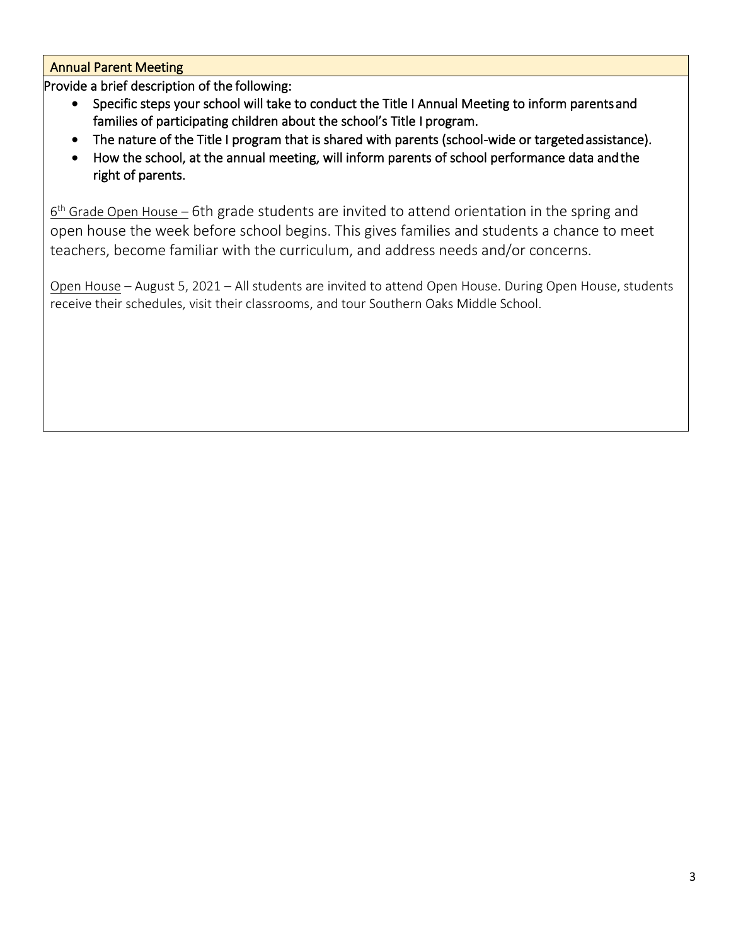Annual Parent Meeting

Provide a brief description of the following:

- Specific steps your school will take to conduct the Title I Annual Meeting to inform parents and families of participating children about the school's Title I program.
- The nature of the Title I program that is shared with parents (school-wide or targeted assistance).
- How the school, at the annual meeting, will inform parents of school performance data and the right of parents.

6<sup>th</sup> Grade Open House – 6th grade students are invited to attend orientation in the spring and open house the week before school begins. This gives families and students a chance to meet teachers, become familiar with the curriculum, and address needs and/or concerns.

Open House – August 5, 2021 – All students are invited to attend Open House. During Open House, students receive their schedules, visit their classrooms, and tour Southern Oaks Middle School.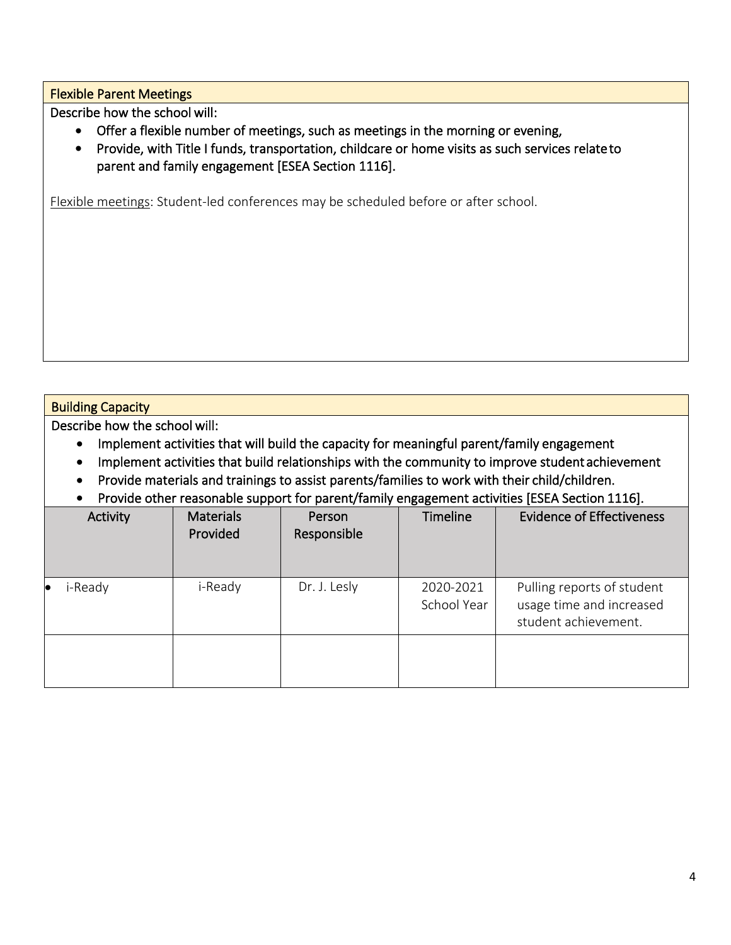Flexible Parent Meetings

Describe how the school will:

- Offer a flexible number of meetings, such as meetings in the morning or evening,
- Provide, with Title I funds, transportation, childcare or home visits as such services relate to parent and family engagement [ESEA Section 1116].

Flexible meetings: Student-led conferences may be scheduled before or after school.

# Building Capacity

Describe how the school will:

- Implement activities that will build the capacity for meaningful parent/family engagement
- Implement activities that build relationships with the community to improve student achievement
- Provide materials and trainings to assist parents/families to work with their child/children.
- Provide other reasonable support for parent/family engagement activities [ESEA Section 1116].

| Activity             | <b>Materials</b><br>Provided | Person<br>Responsible | Timeline                 | <b>Evidence of Effectiveness</b>                                               |
|----------------------|------------------------------|-----------------------|--------------------------|--------------------------------------------------------------------------------|
| i-Ready<br>$\bullet$ | i-Ready                      | Dr. J. Lesly          | 2020-2021<br>School Year | Pulling reports of student<br>usage time and increased<br>student achievement. |
|                      |                              |                       |                          |                                                                                |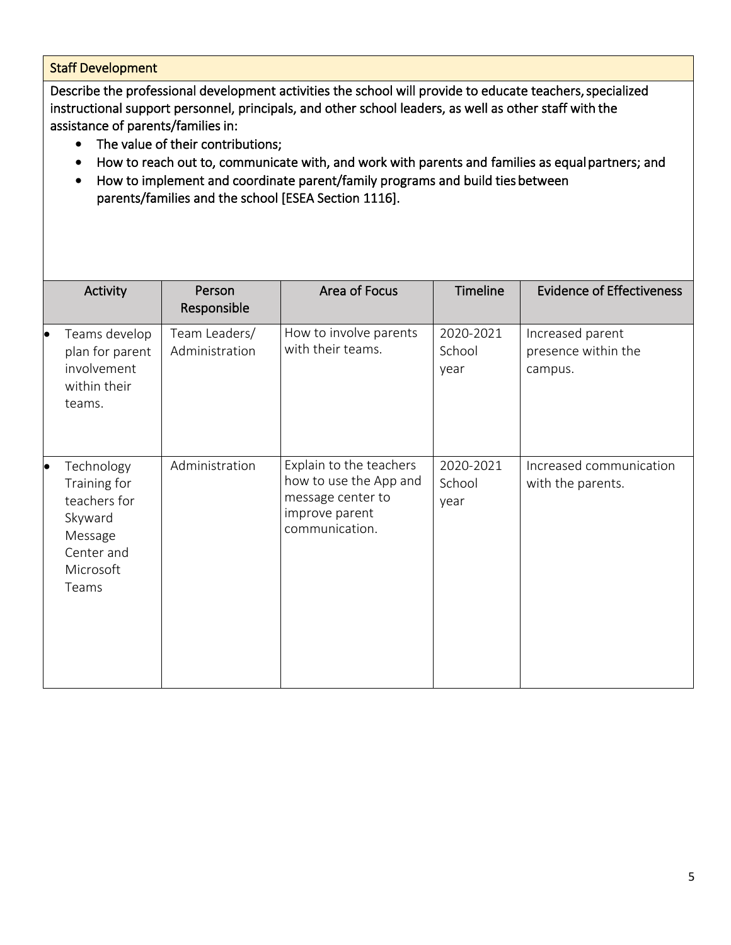# Staff Development

Describe the professional development activities the school will provide to educate teachers, specialized instructional support personnel, principals, and other school leaders, as well as other staff with the assistance of parents/families in:

- The value of their contributions;
- How to reach out to, communicate with, and work with parents and families as equal partners; and
- How to implement and coordinate parent/family programs and build ties between parents/families and the school [ESEA Section 1116].

|    | Activity                                                                                             | Person<br>Responsible           | Area of Focus                                                                                              | <b>Timeline</b>             | <b>Evidence of Effectiveness</b>                   |
|----|------------------------------------------------------------------------------------------------------|---------------------------------|------------------------------------------------------------------------------------------------------------|-----------------------------|----------------------------------------------------|
| lo | Teams develop<br>plan for parent<br>involvement<br>within their<br>teams.                            | Team Leaders/<br>Administration | How to involve parents<br>with their teams.                                                                | 2020-2021<br>School<br>year | Increased parent<br>presence within the<br>campus. |
| þ  | Technology<br>Training for<br>teachers for<br>Skyward<br>Message<br>Center and<br>Microsoft<br>Teams | Administration                  | Explain to the teachers<br>how to use the App and<br>message center to<br>improve parent<br>communication. | 2020-2021<br>School<br>year | Increased communication<br>with the parents.       |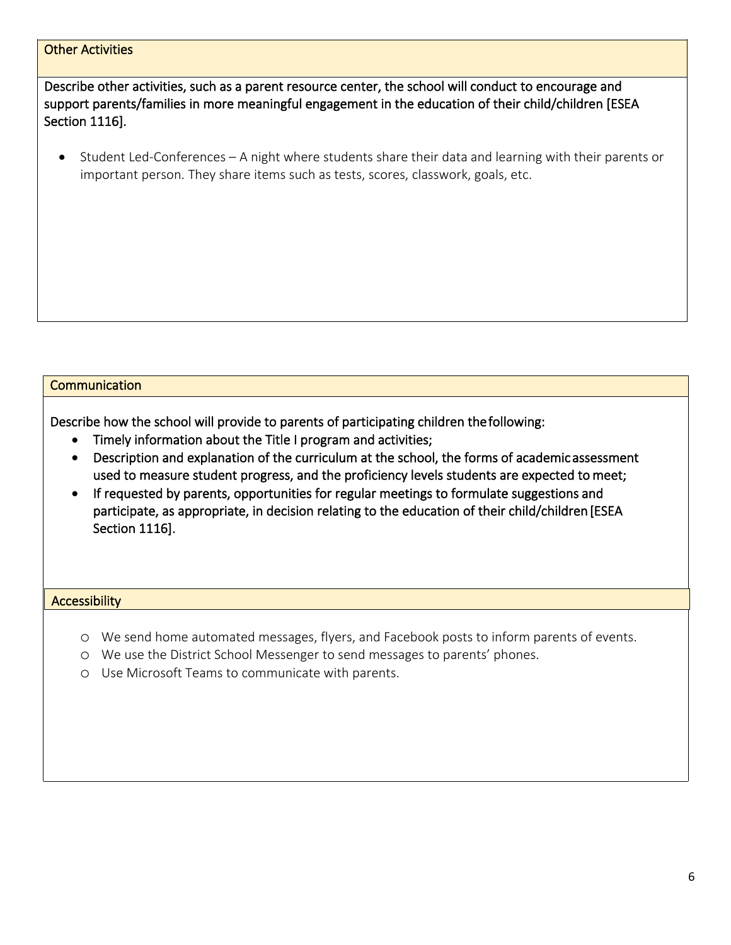# Other Activities

Describe other activities, such as a parent resource center, the school will conduct to encourage and support parents/families in more meaningful engagement in the education of their child/children [ESEA Section 1116].

• Student Led-Conferences – A night where students share their data and learning with their parents or important person. They share items such as tests, scores, classwork, goals, etc.

### **Communication**

Describe how the school will provide to parents of participating children the following:

- Timely information about the Title I program and activities;
- Description and explanation of the curriculum at the school, the forms of academic assessment used to measure student progress, and the proficiency levels students are expected to meet;
- If requested by parents, opportunities for regular meetings to formulate suggestions and participate, as appropriate, in decision relating to the education of their child/children [ESEA Section 1116].

#### **Accessibility**

- o We send home automated messages, flyers, and Facebook posts to inform parents of events.
- o We use the District School Messenger to send messages to parents' phones.
- o Use Microsoft Teams to communicate with parents.